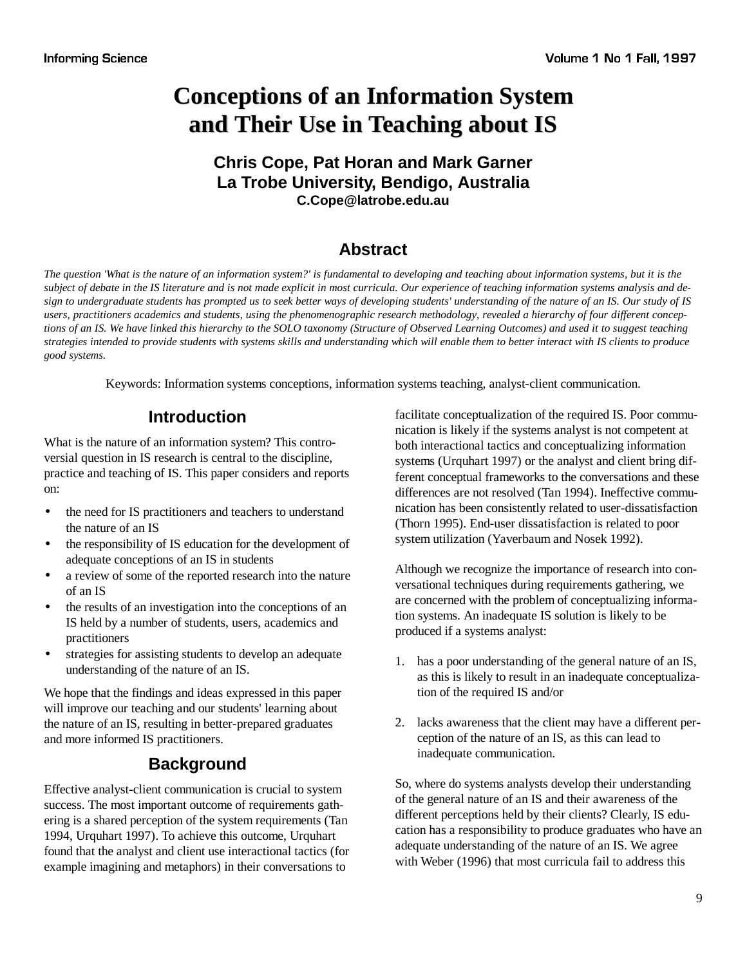# **Conceptions of an Information System and Their Use in Teaching about IS**

# **Chris Cope, Pat Horan and Mark Garner La Trobe University, Bendigo, Australia C.Cope@latrobe.edu.au**

# **Abstract**

*The question 'What is the nature of an information system?' is fundamental to developing and teaching about information systems, but it is the subject of debate in the IS literature and is not made explicit in most curricula. Our experience of teaching information systems analysis and design to undergraduate students has prompted us to seek better ways of developing students' understanding of the nature of an IS. Our study of IS users, practitioners academics and students, using the phenomenographic research methodology, revealed a hierarchy of four different conceptions of an IS. We have linked this hierarchy to the SOLO taxonomy (Structure of Observed Learning Outcomes) and used it to suggest teaching strategies intended to provide students with systems skills and understanding which will enable them to better interact with IS clients to produce good systems.*

Keywords: Information systems conceptions, information systems teaching, analyst-client communication.

# **Introduction**

What is the nature of an information system? This controversial question in IS research is central to the discipline, practice and teaching of IS. This paper considers and reports on:

- the need for IS practitioners and teachers to understand the nature of an IS
- the responsibility of IS education for the development of adequate conceptions of an IS in students
- a review of some of the reported research into the nature of an IS
- the results of an investigation into the conceptions of an IS held by a number of students, users, academics and practitioners
- strategies for assisting students to develop an adequate understanding of the nature of an IS.

We hope that the findings and ideas expressed in this paper will improve our teaching and our students' learning about the nature of an IS, resulting in better-prepared graduates and more informed IS practitioners.

# **Background**

Effective analyst-client communication is crucial to system success. The most important outcome of requirements gathering is a shared perception of the system requirements (Tan 1994, Urquhart 1997). To achieve this outcome, Urquhart found that the analyst and client use interactional tactics (for example imagining and metaphors) in their conversations to

facilitate conceptualization of the required IS. Poor communication is likely if the systems analyst is not competent at both interactional tactics and conceptualizing information systems (Urquhart 1997) or the analyst and client bring different conceptual frameworks to the conversations and these differences are not resolved (Tan 1994). Ineffective communication has been consistently related to user-dissatisfaction (Thorn 1995). End-user dissatisfaction is related to poor system utilization (Yaverbaum and Nosek 1992).

Although we recognize the importance of research into conversational techniques during requirements gathering, we are concerned with the problem of conceptualizing information systems. An inadequate IS solution is likely to be produced if a systems analyst:

- 1. has a poor understanding of the general nature of an IS, as this is likely to result in an inadequate conceptualization of the required IS and/or
- 2. lacks awareness that the client may have a different perception of the nature of an IS, as this can lead to inadequate communication.

So, where do systems analysts develop their understanding of the general nature of an IS and their awareness of the different perceptions held by their clients? Clearly, IS education has a responsibility to produce graduates who have an adequate understanding of the nature of an IS. We agree with Weber (1996) that most curricula fail to address this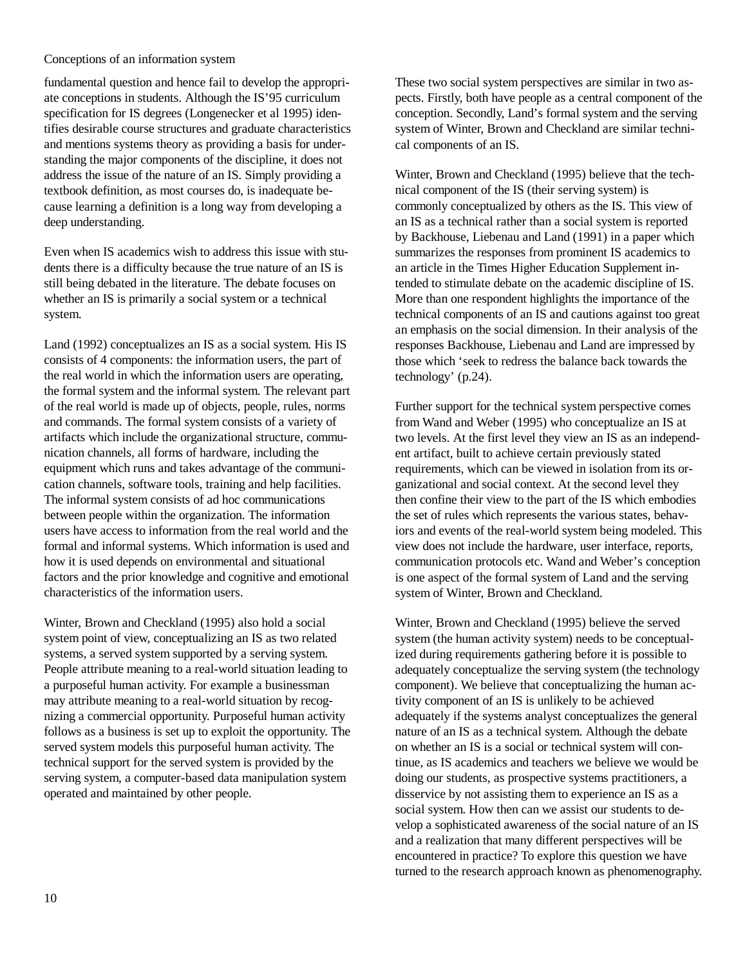fundamental question and hence fail to develop the appropriate conceptions in students. Although the IS'95 curriculum specification for IS degrees (Longenecker et al 1995) identifies desirable course structures and graduate characteristics and mentions systems theory as providing a basis for understanding the major components of the discipline, it does not address the issue of the nature of an IS. Simply providing a textbook definition, as most courses do, is inadequate because learning a definition is a long way from developing a deep understanding.

Even when IS academics wish to address this issue with students there is a difficulty because the true nature of an IS is still being debated in the literature. The debate focuses on whether an IS is primarily a social system or a technical system.

Land (1992) conceptualizes an IS as a social system. His IS consists of 4 components: the information users, the part of the real world in which the information users are operating, the formal system and the informal system. The relevant part of the real world is made up of objects, people, rules, norms and commands. The formal system consists of a variety of artifacts which include the organizational structure, communication channels, all forms of hardware, including the equipment which runs and takes advantage of the communication channels, software tools, training and help facilities. The informal system consists of ad hoc communications between people within the organization. The information users have access to information from the real world and the formal and informal systems. Which information is used and how it is used depends on environmental and situational factors and the prior knowledge and cognitive and emotional characteristics of the information users.

Winter, Brown and Checkland (1995) also hold a social system point of view, conceptualizing an IS as two related systems, a served system supported by a serving system. People attribute meaning to a real-world situation leading to a purposeful human activity. For example a businessman may attribute meaning to a real-world situation by recognizing a commercial opportunity. Purposeful human activity follows as a business is set up to exploit the opportunity. The served system models this purposeful human activity. The technical support for the served system is provided by the serving system, a computer-based data manipulation system operated and maintained by other people.

These two social system perspectives are similar in two aspects. Firstly, both have people as a central component of the conception. Secondly, Land's formal system and the serving system of Winter, Brown and Checkland are similar technical components of an IS.

Winter, Brown and Checkland (1995) believe that the technical component of the IS (their serving system) is commonly conceptualized by others as the IS. This view of an IS as a technical rather than a social system is reported by Backhouse, Liebenau and Land (1991) in a paper which summarizes the responses from prominent IS academics to an article in the Times Higher Education Supplement intended to stimulate debate on the academic discipline of IS. More than one respondent highlights the importance of the technical components of an IS and cautions against too great an emphasis on the social dimension. In their analysis of the responses Backhouse, Liebenau and Land are impressed by those which 'seek to redress the balance back towards the technology' (p.24).

Further support for the technical system perspective comes from Wand and Weber (1995) who conceptualize an IS at two levels. At the first level they view an IS as an independent artifact, built to achieve certain previously stated requirements, which can be viewed in isolation from its organizational and social context. At the second level they then confine their view to the part of the IS which embodies the set of rules which represents the various states, behaviors and events of the real-world system being modeled. This view does not include the hardware, user interface, reports, communication protocols etc. Wand and Weber's conception is one aspect of the formal system of Land and the serving system of Winter, Brown and Checkland.

Winter, Brown and Checkland (1995) believe the served system (the human activity system) needs to be conceptualized during requirements gathering before it is possible to adequately conceptualize the serving system (the technology component). We believe that conceptualizing the human activity component of an IS is unlikely to be achieved adequately if the systems analyst conceptualizes the general nature of an IS as a technical system. Although the debate on whether an IS is a social or technical system will continue, as IS academics and teachers we believe we would be doing our students, as prospective systems practitioners, a disservice by not assisting them to experience an IS as a social system. How then can we assist our students to develop a sophisticated awareness of the social nature of an IS and a realization that many different perspectives will be encountered in practice? To explore this question we have turned to the research approach known as phenomenography.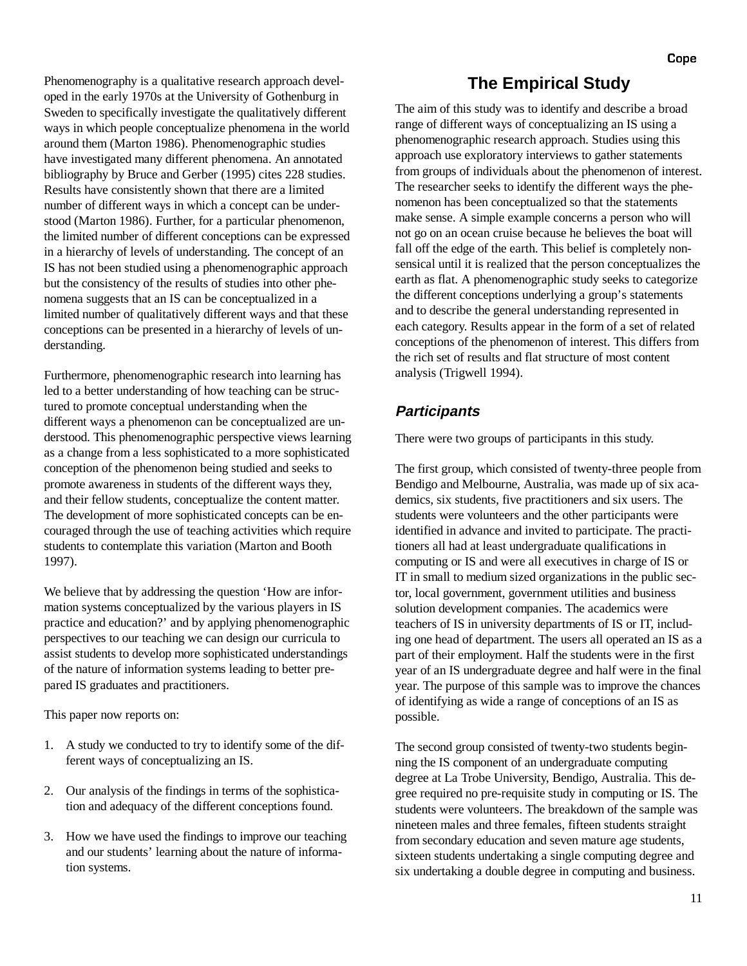Phenomenography is a qualitative research approach developed in the early 1970s at the University of Gothenburg in Sweden to specifically investigate the qualitatively different ways in which people conceptualize phenomena in the world around them (Marton 1986). Phenomenographic studies have investigated many different phenomena. An annotated bibliography by Bruce and Gerber (1995) cites 228 studies. Results have consistently shown that there are a limited number of different ways in which a concept can be understood (Marton 1986). Further, for a particular phenomenon, the limited number of different conceptions can be expressed in a hierarchy of levels of understanding. The concept of an IS has not been studied using a phenomenographic approach but the consistency of the results of studies into other phenomena suggests that an IS can be conceptualized in a limited number of qualitatively different ways and that these conceptions can be presented in a hierarchy of levels of understanding.

Furthermore, phenomenographic research into learning has led to a better understanding of how teaching can be structured to promote conceptual understanding when the different ways a phenomenon can be conceptualized are understood. This phenomenographic perspective views learning as a change from a less sophisticated to a more sophisticated conception of the phenomenon being studied and seeks to promote awareness in students of the different ways they, and their fellow students, conceptualize the content matter. The development of more sophisticated concepts can be encouraged through the use of teaching activities which require students to contemplate this variation (Marton and Booth 1997).

We believe that by addressing the question 'How are information systems conceptualized by the various players in IS practice and education?' and by applying phenomenographic perspectives to our teaching we can design our curricula to assist students to develop more sophisticated understandings of the nature of information systems leading to better prepared IS graduates and practitioners.

This paper now reports on:

- 1. A study we conducted to try to identify some of the different ways of conceptualizing an IS.
- 2. Our analysis of the findings in terms of the sophistication and adequacy of the different conceptions found.
- 3. How we have used the findings to improve our teaching and our students' learning about the nature of information systems.

### **The Empirical Study**

The aim of this study was to identify and describe a broad range of different ways of conceptualizing an IS using a phenomenographic research approach. Studies using this approach use exploratory interviews to gather statements from groups of individuals about the phenomenon of interest. The researcher seeks to identify the different ways the phenomenon has been conceptualized so that the statements make sense. A simple example concerns a person who will not go on an ocean cruise because he believes the boat will fall off the edge of the earth. This belief is completely nonsensical until it is realized that the person conceptualizes the earth as flat. A phenomenographic study seeks to categorize the different conceptions underlying a group's statements and to describe the general understanding represented in each category. Results appear in the form of a set of related conceptions of the phenomenon of interest. This differs from the rich set of results and flat structure of most content analysis (Trigwell 1994).

### **Participants**

There were two groups of participants in this study.

The first group, which consisted of twenty-three people from Bendigo and Melbourne, Australia, was made up of six academics, six students, five practitioners and six users. The students were volunteers and the other participants were identified in advance and invited to participate. The practitioners all had at least undergraduate qualifications in computing or IS and were all executives in charge of IS or IT in small to medium sized organizations in the public sector, local government, government utilities and business solution development companies. The academics were teachers of IS in university departments of IS or IT, including one head of department. The users all operated an IS as a part of their employment. Half the students were in the first year of an IS undergraduate degree and half were in the final year. The purpose of this sample was to improve the chances of identifying as wide a range of conceptions of an IS as possible.

The second group consisted of twenty-two students beginning the IS component of an undergraduate computing degree at La Trobe University, Bendigo, Australia. This degree required no pre-requisite study in computing or IS. The students were volunteers. The breakdown of the sample was nineteen males and three females, fifteen students straight from secondary education and seven mature age students, sixteen students undertaking a single computing degree and six undertaking a double degree in computing and business.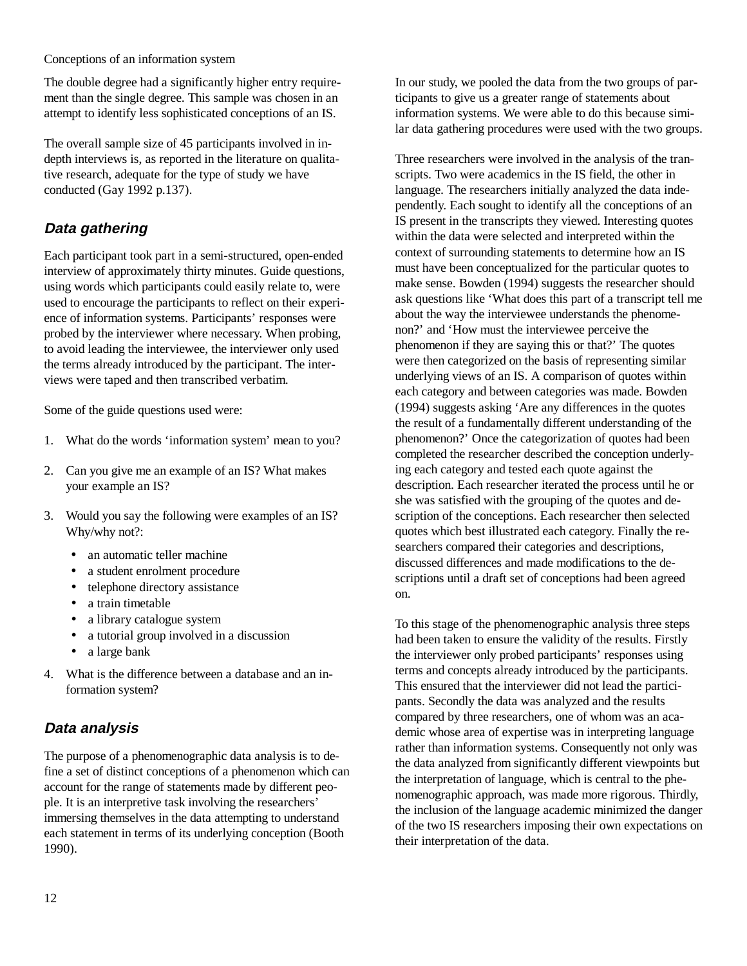The double degree had a significantly higher entry requirement than the single degree. This sample was chosen in an attempt to identify less sophisticated conceptions of an IS.

The overall sample size of 45 participants involved in indepth interviews is, as reported in the literature on qualitative research, adequate for the type of study we have conducted (Gay 1992 p.137).

# **Data gathering**

Each participant took part in a semi-structured, open-ended interview of approximately thirty minutes. Guide questions, using words which participants could easily relate to, were used to encourage the participants to reflect on their experience of information systems. Participants' responses were probed by the interviewer where necessary. When probing, to avoid leading the interviewee, the interviewer only used the terms already introduced by the participant. The interviews were taped and then transcribed verbatim.

Some of the guide questions used were:

- 1. What do the words 'information system' mean to you?
- 2. Can you give me an example of an IS? What makes your example an IS?
- 3. Would you say the following were examples of an IS? Why/why not?:
	- an automatic teller machine
	- a student enrolment procedure
	- telephone directory assistance
	- a train timetable
	- a library catalogue system
	- a tutorial group involved in a discussion
	- a large bank
- 4. What is the difference between a database and an information system?

### **Data analysis**

The purpose of a phenomenographic data analysis is to define a set of distinct conceptions of a phenomenon which can account for the range of statements made by different people. It is an interpretive task involving the researchers' immersing themselves in the data attempting to understand each statement in terms of its underlying conception (Booth 1990).

In our study, we pooled the data from the two groups of participants to give us a greater range of statements about information systems. We were able to do this because similar data gathering procedures were used with the two groups.

Three researchers were involved in the analysis of the transcripts. Two were academics in the IS field, the other in language. The researchers initially analyzed the data independently. Each sought to identify all the conceptions of an IS present in the transcripts they viewed. Interesting quotes within the data were selected and interpreted within the context of surrounding statements to determine how an IS must have been conceptualized for the particular quotes to make sense. Bowden (1994) suggests the researcher should ask questions like 'What does this part of a transcript tell me about the way the interviewee understands the phenomenon?' and 'How must the interviewee perceive the phenomenon if they are saying this or that?' The quotes were then categorized on the basis of representing similar underlying views of an IS. A comparison of quotes within each category and between categories was made. Bowden (1994) suggests asking 'Are any differences in the quotes the result of a fundamentally different understanding of the phenomenon?' Once the categorization of quotes had been completed the researcher described the conception underlying each category and tested each quote against the description. Each researcher iterated the process until he or she was satisfied with the grouping of the quotes and description of the conceptions. Each researcher then selected quotes which best illustrated each category. Finally the researchers compared their categories and descriptions, discussed differences and made modifications to the descriptions until a draft set of conceptions had been agreed on.

To this stage of the phenomenographic analysis three steps had been taken to ensure the validity of the results. Firstly the interviewer only probed participants' responses using terms and concepts already introduced by the participants. This ensured that the interviewer did not lead the participants. Secondly the data was analyzed and the results compared by three researchers, one of whom was an academic whose area of expertise was in interpreting language rather than information systems. Consequently not only was the data analyzed from significantly different viewpoints but the interpretation of language, which is central to the phenomenographic approach, was made more rigorous. Thirdly, the inclusion of the language academic minimized the danger of the two IS researchers imposing their own expectations on their interpretation of the data.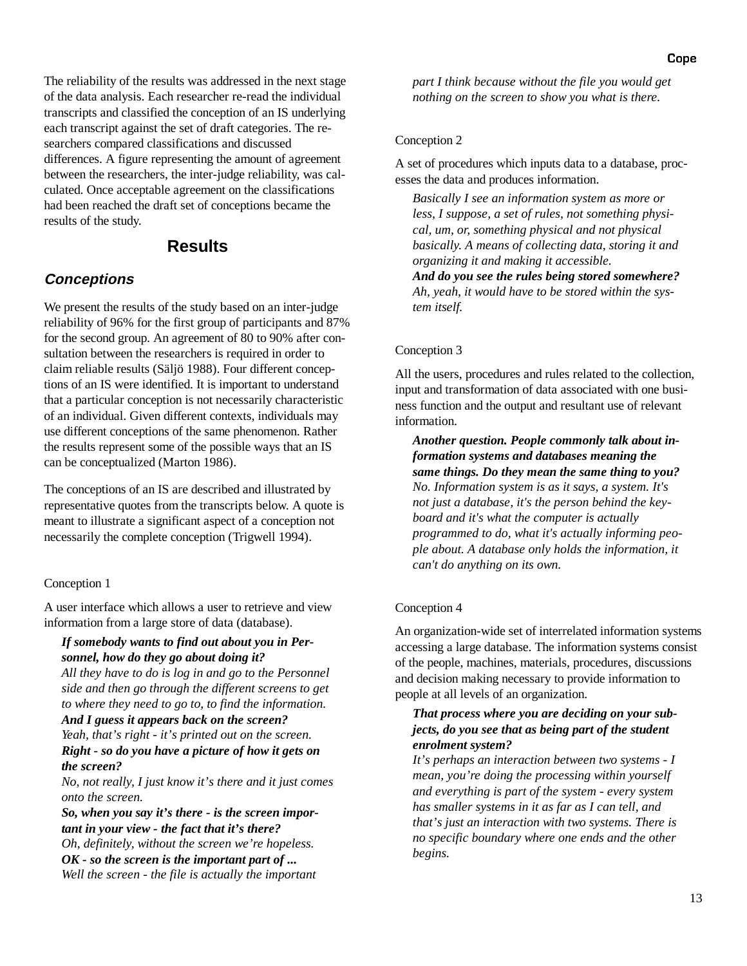The reliability of the results was addressed in the next stage of the data analysis. Each researcher re-read the individual transcripts and classified the conception of an IS underlying each transcript against the set of draft categories. The researchers compared classifications and discussed differences. A figure representing the amount of agreement between the researchers, the inter-judge reliability, was calculated. Once acceptable agreement on the classifications had been reached the draft set of conceptions became the results of the study.

### **Results**

### **Conceptions**

We present the results of the study based on an inter-judge reliability of 96% for the first group of participants and 87% for the second group. An agreement of 80 to 90% after consultation between the researchers is required in order to claim reliable results (Säljö 1988). Four different conceptions of an IS were identified. It is important to understand that a particular conception is not necessarily characteristic of an individual. Given different contexts, individuals may use different conceptions of the same phenomenon. Rather the results represent some of the possible ways that an IS can be conceptualized (Marton 1986).

The conceptions of an IS are described and illustrated by representative quotes from the transcripts below. A quote is meant to illustrate a significant aspect of a conception not necessarily the complete conception (Trigwell 1994).

#### Conception 1

A user interface which allows a user to retrieve and view information from a large store of data (database).

#### *If somebody wants to find out about you in Personnel, how do they go about doing it?*

*All they have to do is log in and go to the Personnel side and then go through the different screens to get to where they need to go to, to find the information.*

#### *And I guess it appears back on the screen? Yeah, that's right - it's printed out on the screen. Right - so do you have a picture of how it gets on the screen?*

*No, not really, I just know it's there and it just comes onto the screen.*

*So, when you say it's there - is the screen important in your view - the fact that it's there? Oh, definitely, without the screen we're hopeless. OK - so the screen is the important part of ... Well the screen - the file is actually the important* *part I think because without the file you would get nothing on the screen to show you what is there.*

#### Conception 2

A set of procedures which inputs data to a database, processes the data and produces information.

*Basically I see an information system as more or less, I suppose, a set of rules, not something physical, um, or, something physical and not physical basically. A means of collecting data, storing it and organizing it and making it accessible.*

*And do you see the rules being stored somewhere? Ah, yeah, it would have to be stored within the system itself.*

#### Conception 3

All the users, procedures and rules related to the collection, input and transformation of data associated with one business function and the output and resultant use of relevant information.

*Another question. People commonly talk about information systems and databases meaning the same things. Do they mean the same thing to you? No. Information system is as it says, a system. It's not just a database, it's the person behind the keyboard and it's what the computer is actually programmed to do, what it's actually informing people about. A database only holds the information, it can't do anything on its own.*

#### Conception 4

An organization-wide set of interrelated information systems accessing a large database. The information systems consist of the people, machines, materials, procedures, discussions and decision making necessary to provide information to people at all levels of an organization.

#### *That process where you are deciding on your subjects, do you see that as being part of the student enrolment system?*

*It's perhaps an interaction between two systems - I mean, you're doing the processing within yourself and everything is part of the system - every system has smaller systems in it as far as I can tell, and that's just an interaction with two systems. There is no specific boundary where one ends and the other begins.*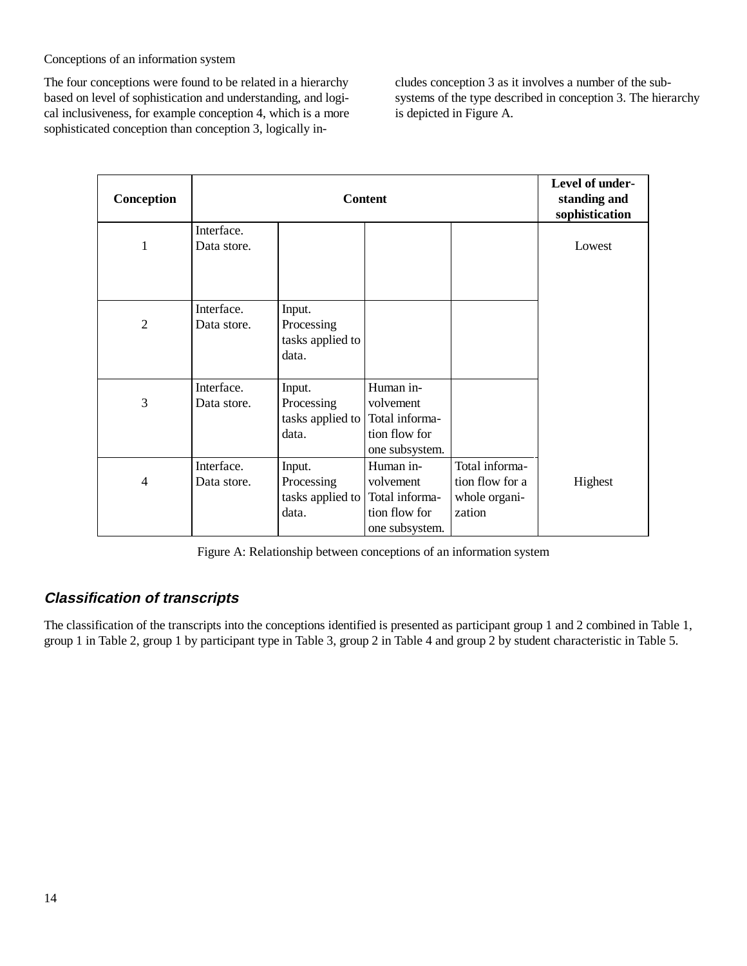The four conceptions were found to be related in a hierarchy based on level of sophistication and understanding, and logical inclusiveness, for example conception 4, which is a more sophisticated conception than conception 3, logically includes conception 3 as it involves a number of the subsystems of the type described in conception 3. The hierarchy is depicted in Figure A.

| Conception   | <b>Content</b>            |                                                   |                                                                             |                                                              | Level of under-<br>standing and<br>sophistication |
|--------------|---------------------------|---------------------------------------------------|-----------------------------------------------------------------------------|--------------------------------------------------------------|---------------------------------------------------|
| 1            | Interface.<br>Data store. |                                                   |                                                                             |                                                              | Lowest                                            |
| $\mathbf{2}$ | Interface.<br>Data store. | Input.<br>Processing<br>tasks applied to<br>data. |                                                                             |                                                              |                                                   |
| 3            | Interface.<br>Data store. | Input.<br>Processing<br>tasks applied to<br>data. | Human in-<br>volvement<br>Total informa-<br>tion flow for<br>one subsystem. |                                                              |                                                   |
| 4            | Interface.<br>Data store. | Input.<br>Processing<br>tasks applied to<br>data. | Human in-<br>volvement<br>Total informa-<br>tion flow for<br>one subsystem. | Total informa-<br>tion flow for a<br>whole organi-<br>zation | Highest                                           |

Figure A: Relationship between conceptions of an information system

# **Classification of transcripts**

The classification of the transcripts into the conceptions identified is presented as participant group 1 and 2 combined in Table 1, group 1 in Table 2, group 1 by participant type in Table 3, group 2 in Table 4 and group 2 by student characteristic in Table 5.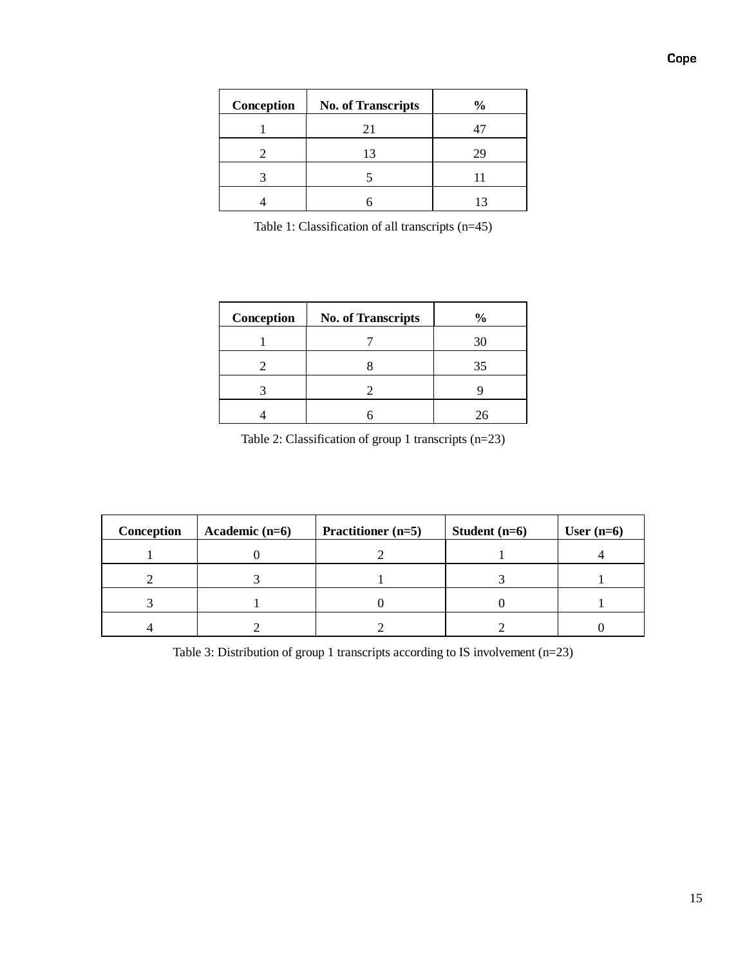| Conception | <b>No. of Transcripts</b> | $\frac{6}{9}$ |
|------------|---------------------------|---------------|
|            | 21                        |               |
|            | 13                        | 29            |
|            |                           |               |
|            |                           | 13            |

Table 1: Classification of all transcripts (n=45)

| Conception | <b>No. of Transcripts</b> | $\frac{0}{0}$ |
|------------|---------------------------|---------------|
|            |                           | 30            |
|            |                           | 35            |
|            |                           |               |
|            |                           | 76            |

Table 2: Classification of group 1 transcripts (n=23)

| Conception | Academic $(n=6)$ | Practitioner (n=5) | Student $(n=6)$ | User $(n=6)$ |
|------------|------------------|--------------------|-----------------|--------------|
|            |                  |                    |                 |              |
|            |                  |                    |                 |              |
|            |                  |                    |                 |              |
|            |                  |                    |                 |              |

Table 3: Distribution of group 1 transcripts according to IS involvement (n=23)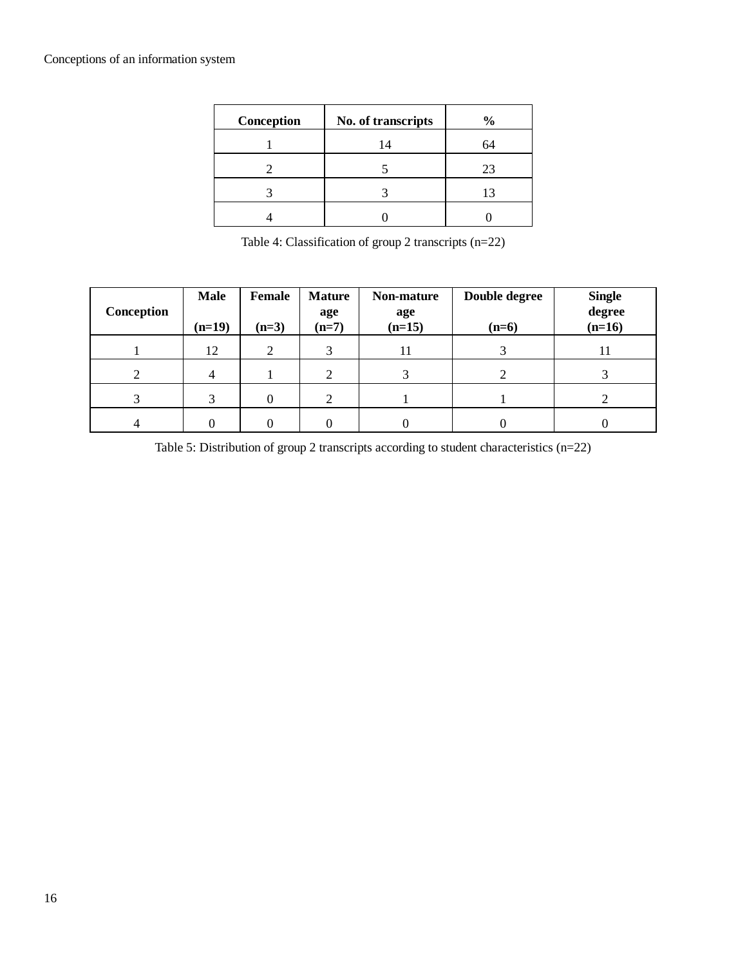| Conception | No. of transcripts | $\frac{0}{0}$ |
|------------|--------------------|---------------|
|            | 14                 | 64            |
|            |                    | 23            |
|            |                    | 13            |
|            |                    |               |

Table 4: Classification of group 2 transcripts (n=22)

| Conception | <b>Male</b><br>$(n=19)$ | Female<br>$(n=3)$ | <b>Mature</b><br>age<br>$(n=7)$ | Non-mature<br>age<br>$(n=15)$ | Double degree<br>$(n=6)$ | <b>Single</b><br>degree<br>$(n=16)$ |
|------------|-------------------------|-------------------|---------------------------------|-------------------------------|--------------------------|-------------------------------------|
|            | 12                      | 2                 | 3                               | 11                            |                          | 11                                  |
| 2          |                         |                   |                                 |                               |                          |                                     |
|            |                         |                   |                                 |                               |                          |                                     |
|            |                         |                   |                                 |                               |                          |                                     |

Table 5: Distribution of group 2 transcripts according to student characteristics (n=22)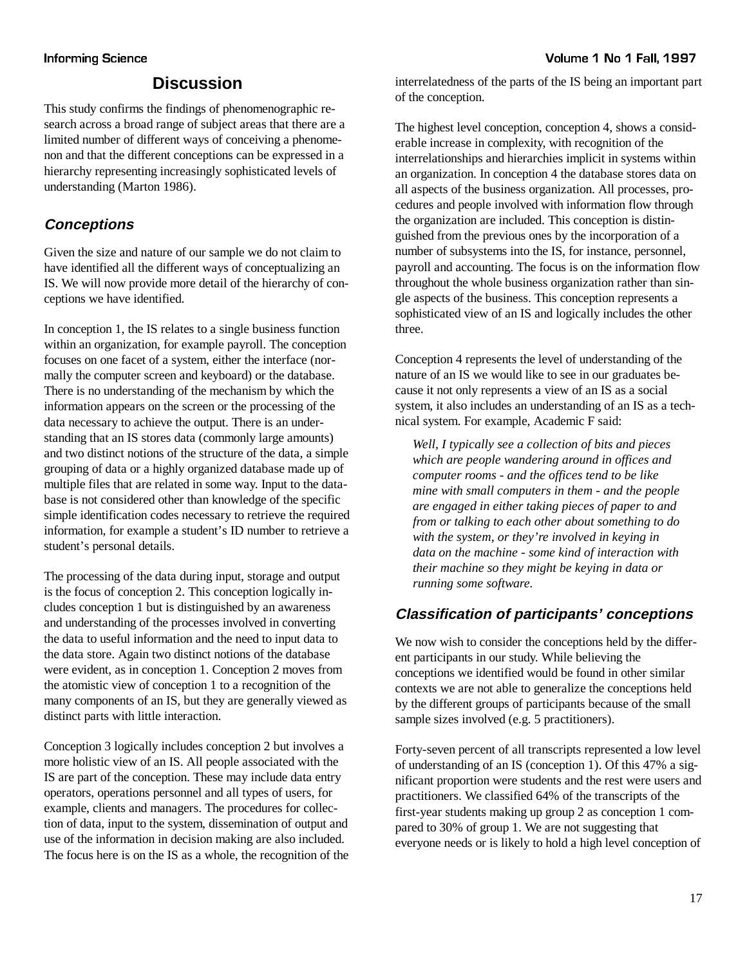# **Discussion**

This study confirms the findings of phenomenographic research across a broad range of subject areas that there are a limited number of different ways of conceiving a phenomenon and that the different conceptions can be expressed in a hierarchy representing increasingly sophisticated levels of understanding (Marton 1986).

# **Conceptions**

Given the size and nature of our sample we do not claim to have identified all the different ways of conceptualizing an IS. We will now provide more detail of the hierarchy of conceptions we have identified.

In conception 1, the IS relates to a single business function within an organization, for example payroll. The conception focuses on one facet of a system, either the interface (normally the computer screen and keyboard) or the database. There is no understanding of the mechanism by which the information appears on the screen or the processing of the data necessary to achieve the output. There is an understanding that an IS stores data (commonly large amounts) and two distinct notions of the structure of the data, a simple grouping of data or a highly organized database made up of multiple files that are related in some way. Input to the database is not considered other than knowledge of the specific simple identification codes necessary to retrieve the required information, for example a student's ID number to retrieve a student's personal details.

The processing of the data during input, storage and output is the focus of conception 2. This conception logically includes conception 1 but is distinguished by an awareness and understanding of the processes involved in converting the data to useful information and the need to input data to the data store. Again two distinct notions of the database were evident, as in conception 1. Conception 2 moves from the atomistic view of conception 1 to a recognition of the many components of an IS, but they are generally viewed as distinct parts with little interaction.

Conception 3 logically includes conception 2 but involves a more holistic view of an IS. All people associated with the IS are part of the conception. These may include data entry operators, operations personnel and all types of users, for example, clients and managers. The procedures for collection of data, input to the system, dissemination of output and use of the information in decision making are also included. The focus here is on the IS as a whole, the recognition of the interrelatedness of the parts of the IS being an important part of the conception.

The highest level conception, conception 4, shows a considerable increase in complexity, with recognition of the interrelationships and hierarchies implicit in systems within an organization. In conception 4 the database stores data on all aspects of the business organization. All processes, procedures and people involved with information flow through the organization are included. This conception is distinguished from the previous ones by the incorporation of a number of subsystems into the IS, for instance, personnel, payroll and accounting. The focus is on the information flow throughout the whole business organization rather than single aspects of the business. This conception represents a sophisticated view of an IS and logically includes the other three.

Conception 4 represents the level of understanding of the nature of an IS we would like to see in our graduates because it not only represents a view of an IS as a social system, it also includes an understanding of an IS as a technical system. For example, Academic F said:

*Well, I typically see a collection of bits and pieces which are people wandering around in offices and computer rooms - and the offices tend to be like mine with small computers in them - and the people are engaged in either taking pieces of paper to and from or talking to each other about something to do with the system, or they're involved in keying in data on the machine - some kind of interaction with their machine so they might be keying in data or running some software.*

# **Classification of participants' conceptions**

We now wish to consider the conceptions held by the different participants in our study. While believing the conceptions we identified would be found in other similar contexts we are not able to generalize the conceptions held by the different groups of participants because of the small sample sizes involved (e.g. 5 practitioners).

Forty-seven percent of all transcripts represented a low level of understanding of an IS (conception 1). Of this 47% a significant proportion were students and the rest were users and practitioners. We classified 64% of the transcripts of the first-year students making up group 2 as conception 1 compared to 30% of group 1. We are not suggesting that everyone needs or is likely to hold a high level conception of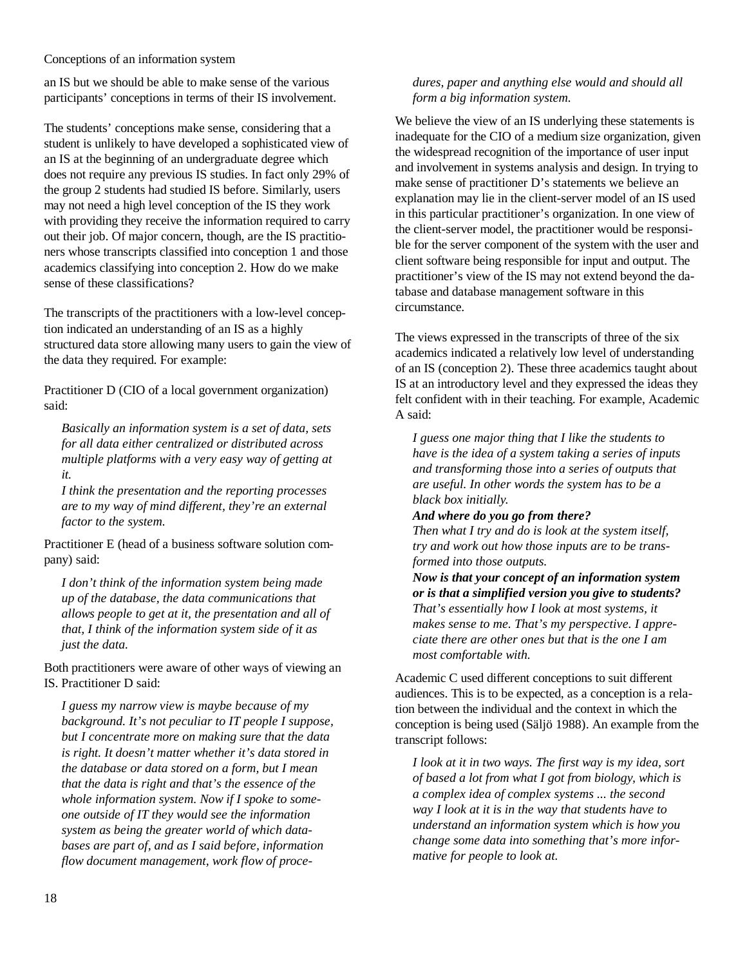an IS but we should be able to make sense of the various participants' conceptions in terms of their IS involvement.

The students' conceptions make sense, considering that a student is unlikely to have developed a sophisticated view of an IS at the beginning of an undergraduate degree which does not require any previous IS studies. In fact only 29% of the group 2 students had studied IS before. Similarly, users may not need a high level conception of the IS they work with providing they receive the information required to carry out their job. Of major concern, though, are the IS practitioners whose transcripts classified into conception 1 and those academics classifying into conception 2. How do we make sense of these classifications?

The transcripts of the practitioners with a low-level conception indicated an understanding of an IS as a highly structured data store allowing many users to gain the view of the data they required. For example:

Practitioner D (CIO of a local government organization) said:

*Basically an information system is a set of data, sets for all data either centralized or distributed across multiple platforms with a very easy way of getting at it.*

*I think the presentation and the reporting processes are to my way of mind different, they're an external factor to the system.*

Practitioner E (head of a business software solution company) said:

*I don't think of the information system being made up of the database, the data communications that allows people to get at it, the presentation and all of that, I think of the information system side of it as just the data.*

Both practitioners were aware of other ways of viewing an IS. Practitioner D said:

*I guess my narrow view is maybe because of my background. It's not peculiar to IT people I suppose, but I concentrate more on making sure that the data is right. It doesn't matter whether it's data stored in the database or data stored on a form, but I mean that the data is right and that's the essence of the whole information system. Now if I spoke to someone outside of IT they would see the information system as being the greater world of which databases are part of, and as I said before, information flow document management, work flow of proce-*

### *dures, paper and anything else would and should all form a big information system.*

We believe the view of an IS underlying these statements is inadequate for the CIO of a medium size organization, given the widespread recognition of the importance of user input and involvement in systems analysis and design. In trying to make sense of practitioner D's statements we believe an explanation may lie in the client-server model of an IS used in this particular practitioner's organization. In one view of the client-server model, the practitioner would be responsible for the server component of the system with the user and client software being responsible for input and output. The practitioner's view of the IS may not extend beyond the database and database management software in this circumstance.

The views expressed in the transcripts of three of the six academics indicated a relatively low level of understanding of an IS (conception 2). These three academics taught about IS at an introductory level and they expressed the ideas they felt confident with in their teaching. For example, Academic A said:

*I guess one major thing that I like the students to have is the idea of a system taking a series of inputs and transforming those into a series of outputs that are useful. In other words the system has to be a black box initially.*

#### *And where do you go from there?*

*Then what I try and do is look at the system itself, try and work out how those inputs are to be transformed into those outputs.*

*Now is that your concept of an information system or is that a simplified version you give to students? That's essentially how I look at most systems, it makes sense to me. That's my perspective. I appreciate there are other ones but that is the one I am most comfortable with.*

Academic C used different conceptions to suit different audiences. This is to be expected, as a conception is a relation between the individual and the context in which the conception is being used (Säljö 1988). An example from the transcript follows:

*I look at it in two ways. The first way is my idea, sort of based a lot from what I got from biology, which is a complex idea of complex systems ... the second way I look at it is in the way that students have to understand an information system which is how you change some data into something that's more informative for people to look at.*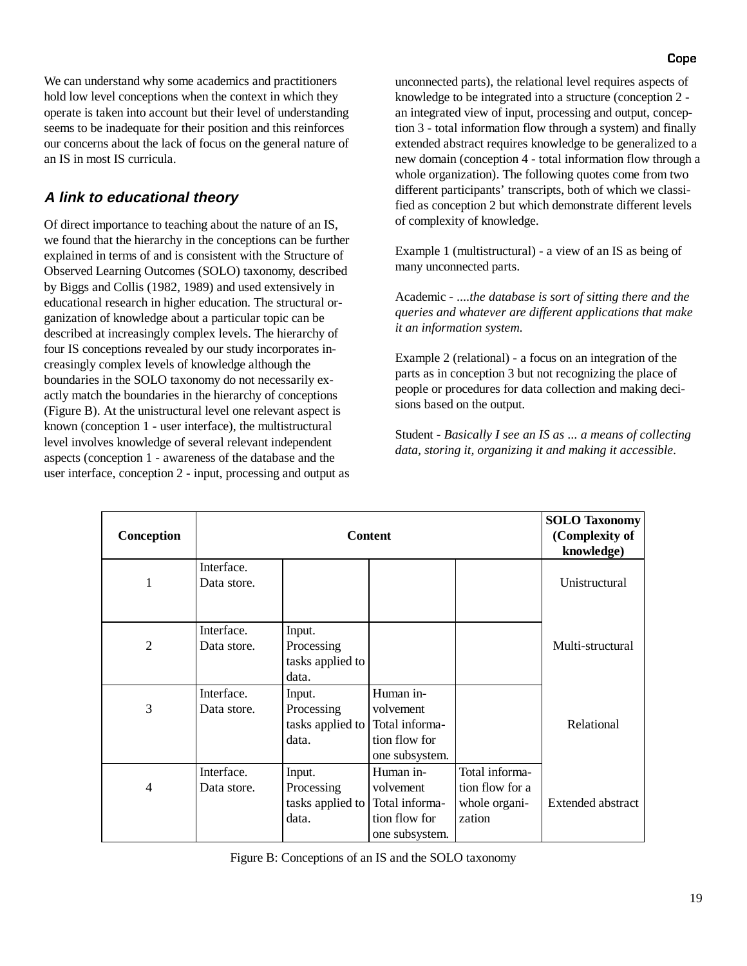We can understand why some academics and practitioners hold low level conceptions when the context in which they operate is taken into account but their level of understanding seems to be inadequate for their position and this reinforces our concerns about the lack of focus on the general nature of an IS in most IS curricula.

### **A link to educational theory**

Of direct importance to teaching about the nature of an IS, we found that the hierarchy in the conceptions can be further explained in terms of and is consistent with the Structure of Observed Learning Outcomes (SOLO) taxonomy, described by Biggs and Collis (1982, 1989) and used extensively in educational research in higher education. The structural organization of knowledge about a particular topic can be described at increasingly complex levels. The hierarchy of four IS conceptions revealed by our study incorporates increasingly complex levels of knowledge although the boundaries in the SOLO taxonomy do not necessarily exactly match the boundaries in the hierarchy of conceptions (Figure B). At the unistructural level one relevant aspect is known (conception 1 - user interface), the multistructural level involves knowledge of several relevant independent aspects (conception 1 - awareness of the database and the user interface, conception 2 - input, processing and output as unconnected parts), the relational level requires aspects of knowledge to be integrated into a structure (conception 2 an integrated view of input, processing and output, conception 3 - total information flow through a system) and finally extended abstract requires knowledge to be generalized to a new domain (conception 4 - total information flow through a whole organization). The following quotes come from two different participants' transcripts, both of which we classified as conception 2 but which demonstrate different levels of complexity of knowledge.

Example 1 (multistructural) - a view of an IS as being of many unconnected parts.

Academic - *....the database is sort of sitting there and the queries and whatever are different applications that make it an information system.*

Example 2 (relational) - a focus on an integration of the parts as in conception 3 but not recognizing the place of people or procedures for data collection and making decisions based on the output.

Student - *Basically I see an IS as* ... *a means of collecting data, storing it, organizing it and making it accessible.*

| Conception     | <b>Content</b>            |                                                   |                                                                             |                                                              | <b>SOLO Taxonomy</b><br>(Complexity of<br>knowledge) |
|----------------|---------------------------|---------------------------------------------------|-----------------------------------------------------------------------------|--------------------------------------------------------------|------------------------------------------------------|
| 1              | Interface.<br>Data store. |                                                   |                                                                             |                                                              | Unistructural                                        |
| $\overline{2}$ | Interface.<br>Data store. | Input.<br>Processing<br>tasks applied to<br>data. |                                                                             |                                                              | Multi-structural                                     |
| 3              | Interface.<br>Data store. | Input.<br>Processing<br>tasks applied to<br>data. | Human in-<br>volvement<br>Total informa-<br>tion flow for<br>one subsystem. |                                                              | Relational                                           |
| 4              | Interface.<br>Data store. | Input.<br>Processing<br>tasks applied to<br>data. | Human in-<br>volvement<br>Total informa-<br>tion flow for<br>one subsystem. | Total informa-<br>tion flow for a<br>whole organi-<br>zation | Extended abstract                                    |

Figure B: Conceptions of an IS and the SOLO taxonomy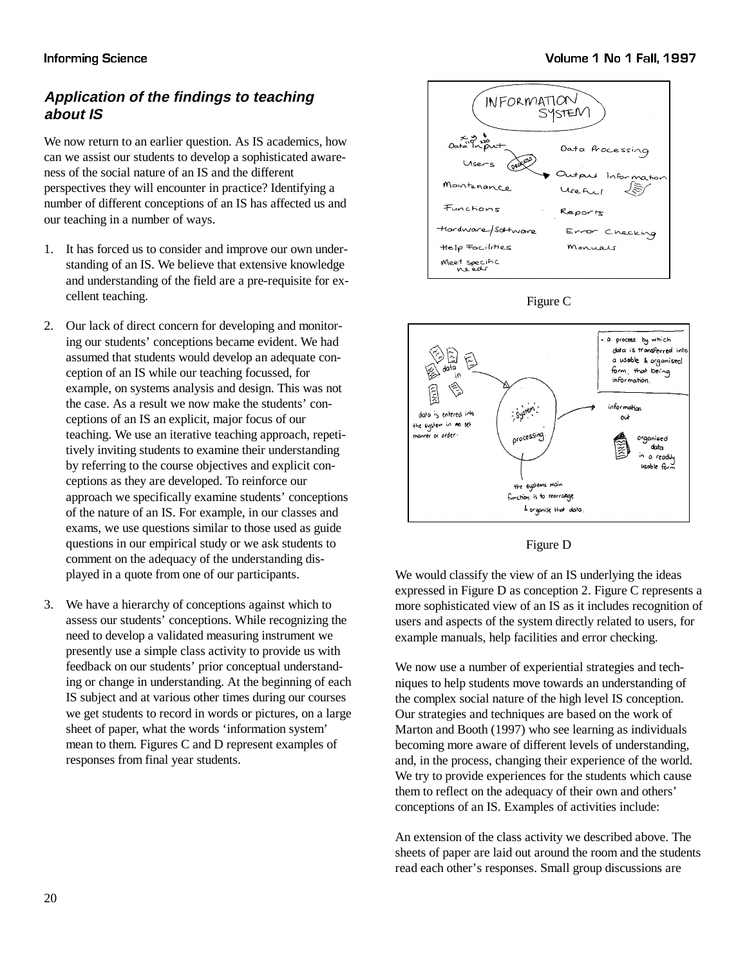# **Application of the findings to teaching about IS**

We now return to an earlier question. As IS academics, how can we assist our students to develop a sophisticated awareness of the social nature of an IS and the different perspectives they will encounter in practice? Identifying a number of different conceptions of an IS has affected us and our teaching in a number of ways.

- 1. It has forced us to consider and improve our own understanding of an IS. We believe that extensive knowledge and understanding of the field are a pre-requisite for excellent teaching.
- 2. Our lack of direct concern for developing and monitoring our students' conceptions became evident. We had assumed that students would develop an adequate conception of an IS while our teaching focussed, for example, on systems analysis and design. This was not the case. As a result we now make the students' conceptions of an IS an explicit, major focus of our teaching. We use an iterative teaching approach, repetitively inviting students to examine their understanding by referring to the course objectives and explicit conceptions as they are developed. To reinforce our approach we specifically examine students' conceptions of the nature of an IS. For example, in our classes and exams, we use questions similar to those used as guide questions in our empirical study or we ask students to comment on the adequacy of the understanding displayed in a quote from one of our participants.
- 3. We have a hierarchy of conceptions against which to assess our students' conceptions. While recognizing the need to develop a validated measuring instrument we presently use a simple class activity to provide us with feedback on our students' prior conceptual understanding or change in understanding. At the beginning of each IS subject and at various other times during our courses we get students to record in words or pictures, on a large sheet of paper, what the words 'information system' mean to them. Figures C and D represent examples of responses from final year students.



Figure C





We would classify the view of an IS underlying the ideas expressed in Figure D as conception 2. Figure C represents a more sophisticated view of an IS as it includes recognition of users and aspects of the system directly related to users, for example manuals, help facilities and error checking.

We now use a number of experiential strategies and techniques to help students move towards an understanding of the complex social nature of the high level IS conception. Our strategies and techniques are based on the work of Marton and Booth (1997) who see learning as individuals becoming more aware of different levels of understanding, and, in the process, changing their experience of the world. We try to provide experiences for the students which cause them to reflect on the adequacy of their own and others' conceptions of an IS. Examples of activities include:

An extension of the class activity we described above. The sheets of paper are laid out around the room and the students read each other's responses. Small group discussions are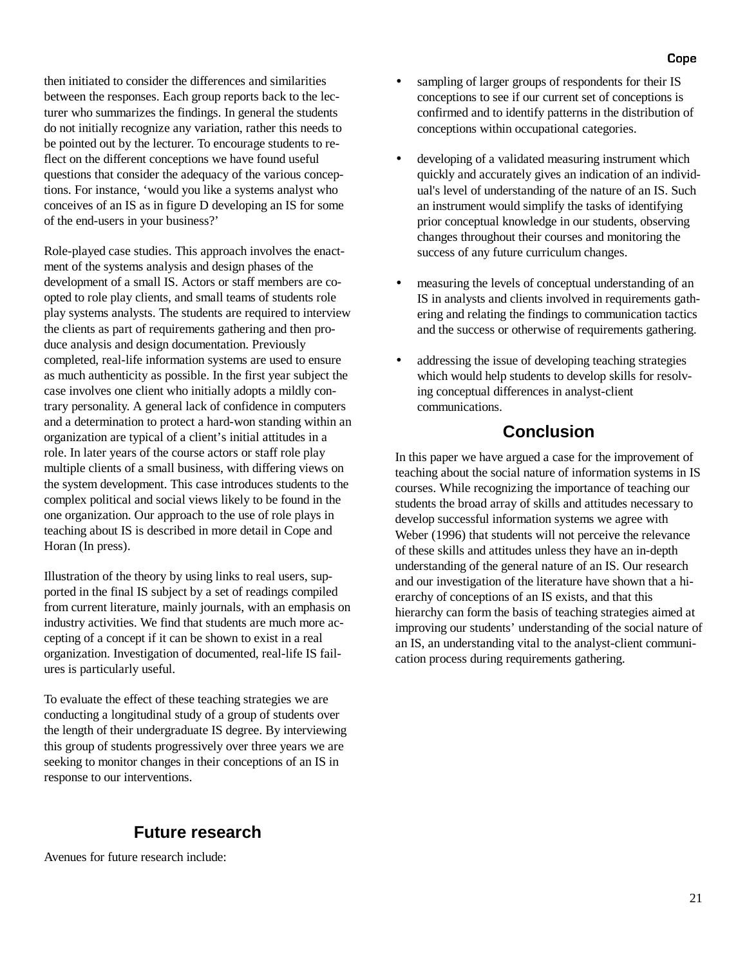then initiated to consider the differences and similarities between the responses. Each group reports back to the lecturer who summarizes the findings. In general the students do not initially recognize any variation, rather this needs to be pointed out by the lecturer. To encourage students to reflect on the different conceptions we have found useful questions that consider the adequacy of the various conceptions. For instance, 'would you like a systems analyst who conceives of an IS as in figure D developing an IS for some of the end-users in your business?'

Role-played case studies. This approach involves the enactment of the systems analysis and design phases of the development of a small IS. Actors or staff members are coopted to role play clients, and small teams of students role play systems analysts. The students are required to interview the clients as part of requirements gathering and then produce analysis and design documentation. Previously completed, real-life information systems are used to ensure as much authenticity as possible. In the first year subject the case involves one client who initially adopts a mildly contrary personality. A general lack of confidence in computers and a determination to protect a hard-won standing within an organization are typical of a client's initial attitudes in a role. In later years of the course actors or staff role play multiple clients of a small business, with differing views on the system development. This case introduces students to the complex political and social views likely to be found in the one organization. Our approach to the use of role plays in teaching about IS is described in more detail in Cope and Horan (In press).

Illustration of the theory by using links to real users, supported in the final IS subject by a set of readings compiled from current literature, mainly journals, with an emphasis on industry activities. We find that students are much more accepting of a concept if it can be shown to exist in a real organization. Investigation of documented, real-life IS failures is particularly useful.

To evaluate the effect of these teaching strategies we are conducting a longitudinal study of a group of students over the length of their undergraduate IS degree. By interviewing this group of students progressively over three years we are seeking to monitor changes in their conceptions of an IS in response to our interventions.

### **Future research**

Avenues for future research include:

- sampling of larger groups of respondents for their IS conceptions to see if our current set of conceptions is confirmed and to identify patterns in the distribution of conceptions within occupational categories.
- developing of a validated measuring instrument which quickly and accurately gives an indication of an individual's level of understanding of the nature of an IS. Such an instrument would simplify the tasks of identifying prior conceptual knowledge in our students, observing changes throughout their courses and monitoring the success of any future curriculum changes.
- measuring the levels of conceptual understanding of an IS in analysts and clients involved in requirements gathering and relating the findings to communication tactics and the success or otherwise of requirements gathering.
- addressing the issue of developing teaching strategies which would help students to develop skills for resolving conceptual differences in analyst-client communications.

# **Conclusion**

In this paper we have argued a case for the improvement of teaching about the social nature of information systems in IS courses. While recognizing the importance of teaching our students the broad array of skills and attitudes necessary to develop successful information systems we agree with Weber (1996) that students will not perceive the relevance of these skills and attitudes unless they have an in-depth understanding of the general nature of an IS. Our research and our investigation of the literature have shown that a hierarchy of conceptions of an IS exists, and that this hierarchy can form the basis of teaching strategies aimed at improving our students' understanding of the social nature of an IS, an understanding vital to the analyst-client communication process during requirements gathering.